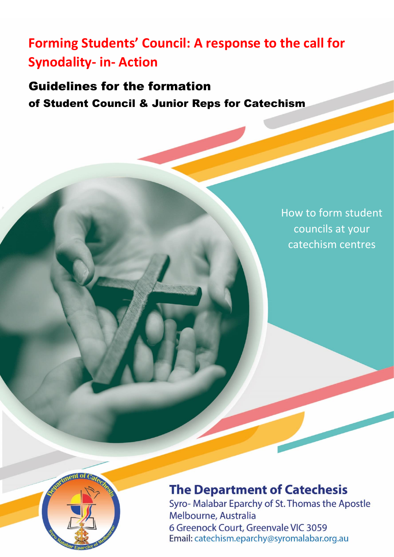# **Forming Students' Council: A response to the call for Synodality- in- Action**

Guidelines for the formation of Student Council & Junior Reps for Catechism

> How to form student councils at your catechism centres



## **The Department of Catechesis**

Syro- Malabar Eparchy of St. Thomas the Apostle Melbourne, Australia 6 Greenock Court, Greenvale VIC 3059 Email: catechism.eparchy@syromalabar.org.au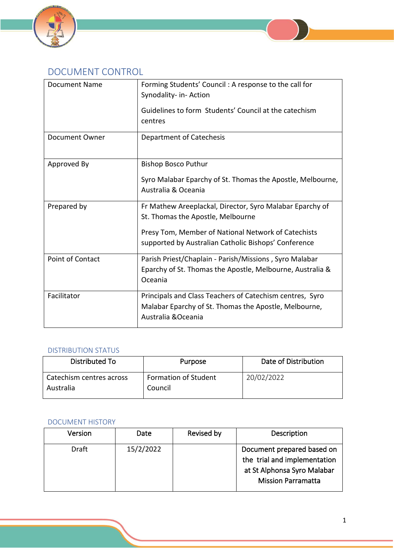

### DOCUMENT CONTROL

| <b>Document Name</b>    | Forming Students' Council: A response to the call for<br>Synodality- in- Action<br>Guidelines to form Students' Council at the catechism<br>centres                                                          |  |  |
|-------------------------|--------------------------------------------------------------------------------------------------------------------------------------------------------------------------------------------------------------|--|--|
| Document Owner          | <b>Department of Catechesis</b>                                                                                                                                                                              |  |  |
| Approved By             | <b>Bishop Bosco Puthur</b><br>Syro Malabar Eparchy of St. Thomas the Apostle, Melbourne,<br>Australia & Oceania                                                                                              |  |  |
| Prepared by             | Fr Mathew Areeplackal, Director, Syro Malabar Eparchy of<br>St. Thomas the Apostle, Melbourne<br>Presy Tom, Member of National Network of Catechists<br>supported by Australian Catholic Bishops' Conference |  |  |
| <b>Point of Contact</b> | Parish Priest/Chaplain - Parish/Missions, Syro Malabar<br>Eparchy of St. Thomas the Apostle, Melbourne, Australia &<br>Oceania                                                                               |  |  |
| Facilitator             | Principals and Class Teachers of Catechism centres, Syro<br>Malabar Eparchy of St. Thomas the Apostle, Melbourne,<br>Australia & Oceania                                                                     |  |  |

#### DISTRIBUTION STATUS

| Distributed To                        | Purpose                                | Date of Distribution |
|---------------------------------------|----------------------------------------|----------------------|
| Catechism centres across<br>Australia | <b>Formation of Student</b><br>Council | 20/02/2022           |

#### DOCUMENT HISTORY

| <b>Version</b> | Date      | Revised by | Description                                                                                                            |
|----------------|-----------|------------|------------------------------------------------------------------------------------------------------------------------|
| <b>Draft</b>   | 15/2/2022 |            | Document prepared based on<br>the trial and implementation<br>at St Alphonsa Syro Malabar<br><b>Mission Parramatta</b> |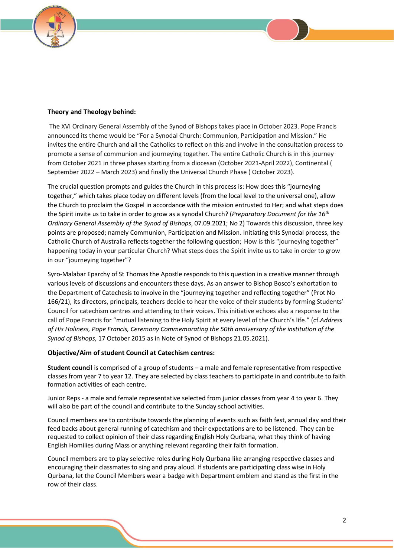

#### **Theory and Theology behind:**

The XVI Ordinary General Assembly of the Synod of Bishops takes place in October 2023. Pope Francis announced its theme would be "For a Synodal Church: Communion, Participation and Mission." He invites the entire Church and all the Catholics to reflect on this and involve in the consultation process to promote a sense of communion and journeying together. The entire Catholic Church is in this journey from October 2021 in three phases starting from a diocesan (October 2021-April 2022), Continental ( September 2022 – March 2023) and finally the Universal Church Phase ( October 2023).

The crucial question prompts and guides the Church in this process is: How does this "journeying together," which takes place today on different levels (from the local level to the universal one), allow the Church to proclaim the Gospel in accordance with the mission entrusted to Her; and what steps does the Spirit invite us to take in order to grow as a synodal Church? (*Preparatory Document for the 16th Ordinary General Assembly of the Synod of Bishops*, 07.09.2021; No 2) Towards this discussion, three key points are proposed; namely Communion, Participation and Mission. Initiating this Synodal process, the Catholic Church of Australia reflects together the following question; How is this "journeying together" happening today in your particular Church? What steps does the Spirit invite us to take in order to grow in our "journeying together"?

Syro-Malabar Eparchy of St Thomas the Apostle responds to this question in a creative manner through various levels of discussions and encounters these days. As an answer to Bishop Bosco's exhortation to the Department of Catechesis to involve in the "journeying together and reflecting together" (Prot No 166/21), its directors, principals, teachers decide to hear the voice of their students by forming Students' Council for catechism centres and attending to their voices. This initiative echoes also a response to the call of Pope Francis for "mutual listening to the Holy Spirit at every level of the Church's life." (cf.*Address of His Holiness, Pope Francis, Ceremony Commemorating the 50th anniversary of the institution of the Synod of Bishops*, 17 October 2015 as in Note of Synod of Bishops 21.05.2021).

#### **Objective/Aim of student Council at Catechism centres:**

**Student council** is comprised of a group of students – a male and female representative from respective classes from year 7 to year 12. They are selected by class teachers to participate in and contribute to faith formation activities of each centre.

Junior Reps - a male and female representative selected from junior classes from year 4 to year 6. They will also be part of the council and contribute to the Sunday school activities.

Council members are to contribute towards the planning of events such as faith fest, annual day and their feed backs about general running of catechism and their expectations are to be listened. They can be requested to collect opinion of their class regarding English Holy Qurbana, what they think of having English Homilies during Mass or anything relevant regarding their faith formation.

Council members are to play selective roles during Holy Qurbana like arranging respective classes and encouraging their classmates to sing and pray aloud. If students are participating class wise in Holy Qurbana, let the Council Members wear a badge with Department emblem and stand as the first in the row of their class.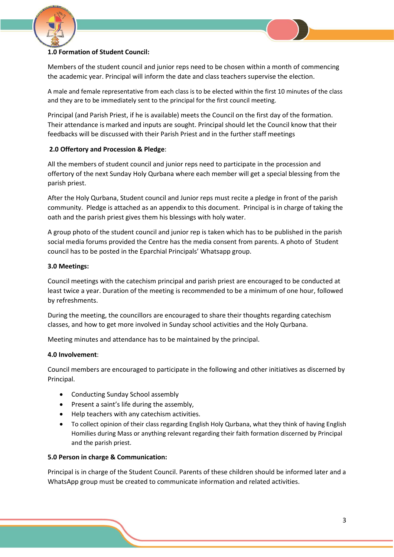

#### **1.0 Formation of Student Council:**

Members of the student council and junior reps need to be chosen within a month of commencing the academic year. Principal will inform the date and class teachers supervise the election.

A male and female representative from each class is to be elected within the first 10 minutes of the class and they are to be immediately sent to the principal for the first council meeting.

Principal (and Parish Priest, if he is available) meets the Council on the first day of the formation. Their attendance is marked and inputs are sought. Principal should let the Council know that their feedbacks will be discussed with their Parish Priest and in the further staff meetings

#### **2.0 Offertory and Procession & Pledge**:

All the members of student council and junior reps need to participate in the procession and offertory of the next Sunday Holy Qurbana where each member will get a special blessing from the parish priest.

After the Holy Qurbana, Student council and Junior reps must recite a pledge in front of the parish community. Pledge is attached as an appendix to this document. Principal is in charge of taking the oath and the parish priest gives them his blessings with holy water.

A group photo of the student council and junior rep is taken which has to be published in the parish social media forums provided the Centre has the media consent from parents. A photo of Student council has to be posted in the Eparchial Principals' Whatsapp group.

#### **3.0 Meetings:**

Council meetings with the catechism principal and parish priest are encouraged to be conducted at least twice a year. Duration of the meeting is recommended to be a minimum of one hour, followed by refreshments.

During the meeting, the councillors are encouraged to share their thoughts regarding catechism classes, and how to get more involved in Sunday school activities and the Holy Qurbana.

Meeting minutes and attendance has to be maintained by the principal.

#### **4.0 Involvement**:

Council members are encouraged to participate in the following and other initiatives as discerned by Principal.

- Conducting Sunday School assembly
- Present a saint's life during the assembly,
- Help teachers with any catechism activities.
- To collect opinion of their class regarding English Holy Qurbana, what they think of having English Homilies during Mass or anything relevant regarding their faith formation discerned by Principal and the parish priest.

#### **5.0 Person in charge & Communication:**

Principal is in charge of the Student Council. Parents of these children should be informed later and a WhatsApp group must be created to communicate information and related activities.